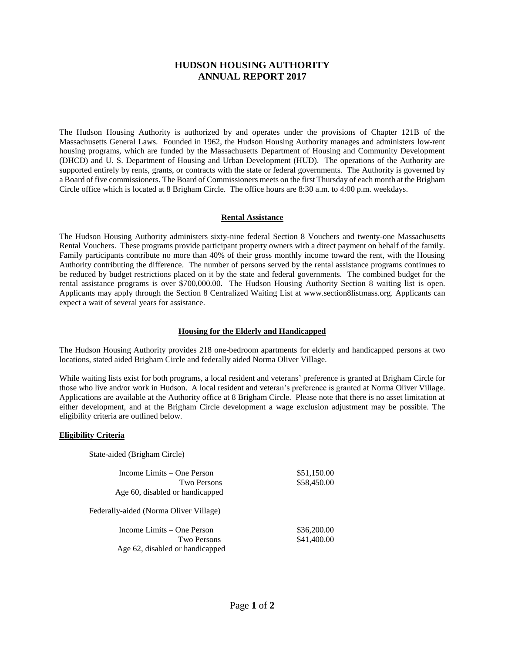# **HUDSON HOUSING AUTHORITY ANNUAL REPORT 2017**

The Hudson Housing Authority is authorized by and operates under the provisions of Chapter 121B of the Massachusetts General Laws. Founded in 1962, the Hudson Housing Authority manages and administers low-rent housing programs, which are funded by the Massachusetts Department of Housing and Community Development (DHCD) and U. S. Department of Housing and Urban Development (HUD). The operations of the Authority are supported entirely by rents, grants, or contracts with the state or federal governments. The Authority is governed by a Board of five commissioners. The Board of Commissioners meets on the first Thursday of each month at the Brigham Circle office which is located at 8 Brigham Circle. The office hours are 8:30 a.m. to 4:00 p.m. weekdays.

### **Rental Assistance**

The Hudson Housing Authority administers sixty-nine federal Section 8 Vouchers and twenty-one Massachusetts Rental Vouchers. These programs provide participant property owners with a direct payment on behalf of the family. Family participants contribute no more than 40% of their gross monthly income toward the rent, with the Housing Authority contributing the difference. The number of persons served by the rental assistance programs continues to be reduced by budget restrictions placed on it by the state and federal governments. The combined budget for the rental assistance programs is over \$700,000.00. The Hudson Housing Authority Section 8 waiting list is open. Applicants may apply through the Section 8 Centralized Waiting List at www.section8listmass.org. Applicants can expect a wait of several years for assistance.

### **Housing for the Elderly and Handicapped**

The Hudson Housing Authority provides 218 one-bedroom apartments for elderly and handicapped persons at two locations, stated aided Brigham Circle and federally aided Norma Oliver Village.

While waiting lists exist for both programs, a local resident and veterans' preference is granted at Brigham Circle for those who live and/or work in Hudson. A local resident and veteran's preference is granted at Norma Oliver Village. Applications are available at the Authority office at 8 Brigham Circle. Please note that there is no asset limitation at either development, and at the Brigham Circle development a wage exclusion adjustment may be possible. The eligibility criteria are outlined below.

#### **Eligibility Criteria**

State-aided (Brigham Circle)

| Income Limits – One Person             | \$51,150.00 |  |
|----------------------------------------|-------------|--|
| <b>Two Persons</b>                     | \$58,450.00 |  |
| Age 60, disabled or handicapped        |             |  |
| Federally-aided (Norma Oliver Village) |             |  |
| Income Limits – One Person             | \$36,200.00 |  |
| Two Persons                            | \$41,400.00 |  |
| Age 62, disabled or handicapped        |             |  |